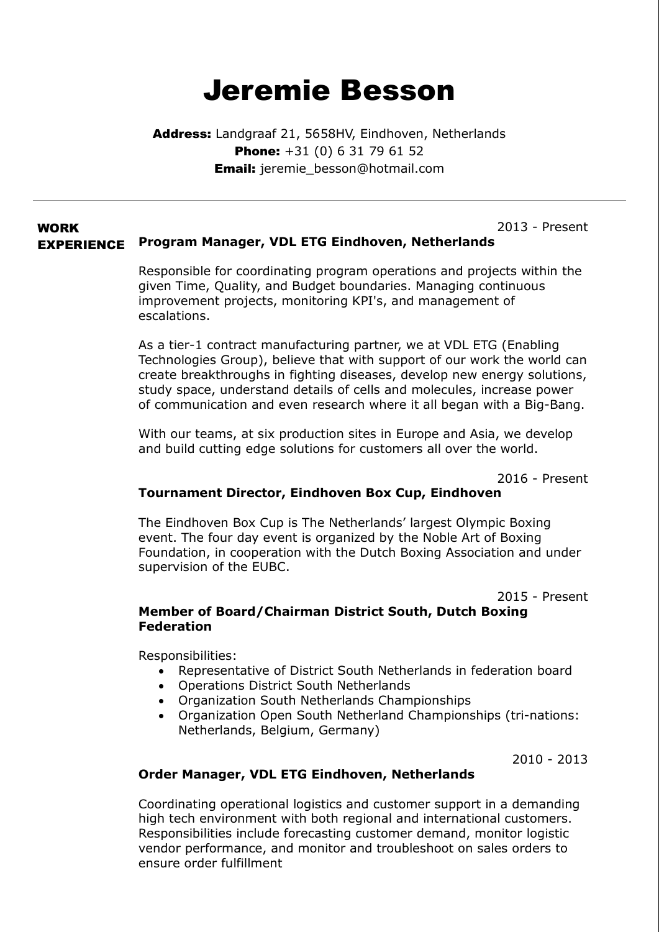# Jeremie Besson

Address: Landgraaf 21, 5658HV, Eindhoven, Netherlands **Phone:** +31 (0) 6 31 79 61 52 **Email:** jeremie\_besson@hotmail.com

#### WORK EXPERIENCE 2013 - Present Program Manager, VDL ETG Eindhoven, Netherlands

Responsible for coordinating program operations and projects within the given Time, Quality, and Budget boundaries. Managing continuous improvement projects, monitoring KPI's, and management of escalations.

As a tier-1 contract manufacturing partner, we at VDL ETG (Enabling Technologies Group), believe that with support of our work the world can create breakthroughs in fighting diseases, develop new energy solutions, study space, understand details of cells and molecules, increase power of communication and even research where it all began with a Big-Bang.

With our teams, at six production sites in Europe and Asia, we develop and build cutting edge solutions for customers all over the world.

2016 - Present

# Tournament Director, Eindhoven Box Cup, Eindhoven

The Eindhoven Box Cup is The Netherlands' largest Olympic Boxing event. The four day event is organized by the Noble Art of Boxing Foundation, in cooperation with the Dutch Boxing Association and under supervision of the EUBC.

2015 - Present

# Member of Board/Chairman District South, Dutch Boxing Federation

Responsibilities:

- Representative of District South Netherlands in federation board
- Operations District South Netherlands
- Organization South Netherlands Championships
- Organization Open South Netherland Championships (tri-nations: Netherlands, Belgium, Germany)

2010 - 2013

# Order Manager, VDL ETG Eindhoven, Netherlands

Coordinating operational logistics and customer support in a demanding high tech environment with both regional and international customers. Responsibilities include forecasting customer demand, monitor logistic vendor performance, and monitor and troubleshoot on sales orders to ensure order fulfillment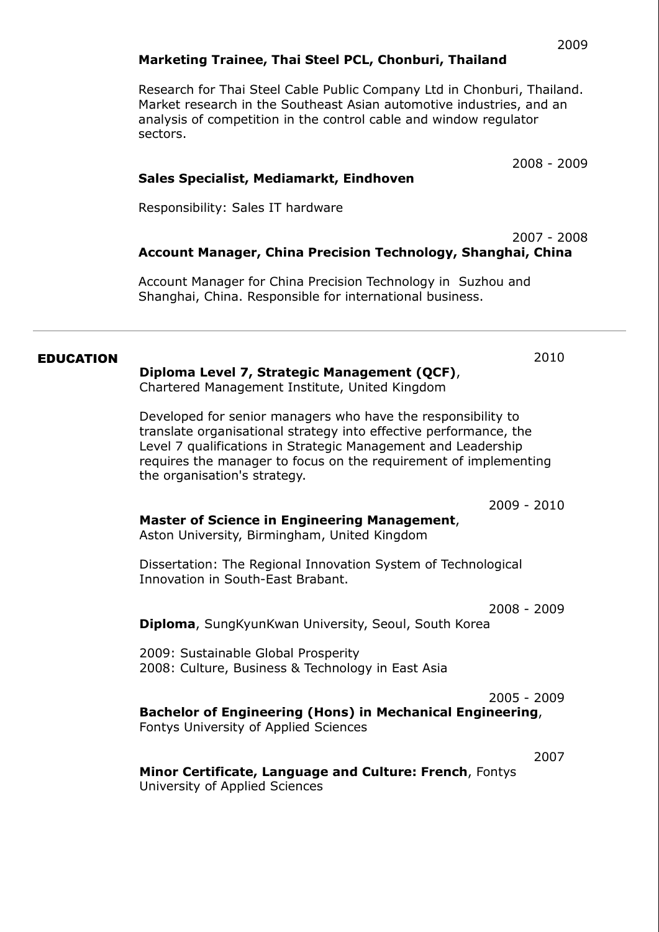## Marketing Trainee, Thai Steel PCL, Chonburi, Thailand

Research for Thai Steel Cable Public Company Ltd in Chonburi, Thailand. Market research in the Southeast Asian automotive industries, and an analysis of competition in the control cable and window regulator sectors.

2008 - 2009

### Sales Specialist, Mediamarkt, Eindhoven

Responsibility: Sales IT hardware

#### 2007 - 2008 Account Manager, China Precision Technology, Shanghai, China

Account Manager for China Precision Technology in Suzhou and Shanghai, China. Responsible for international business.

#### EDUCATION 2010

#### Diploma Level 7, Strategic Management (QCF),

Chartered Management Institute, United Kingdom

Developed for senior managers who have the responsibility to translate organisational strategy into effective performance, the Level 7 qualifications in Strategic Management and Leadership requires the manager to focus on the requirement of implementing the organisation's strategy.

2009 - 2010

#### Master of Science in Engineering Management, Aston University, Birmingham, United Kingdom

Dissertation: The Regional Innovation System of Technological Innovation in South-East Brabant.

2008 - 2009

Diploma, SungKyunKwan University, Seoul, South Korea

2009: Sustainable Global Prosperity 2008: Culture, Business & Technology in East Asia

2005 - 2009

# Bachelor of Engineering (Hons) in Mechanical Engineering,

Fontys University of Applied Sciences

2007

Minor Certificate, Language and Culture: French, Fontys University of Applied Sciences